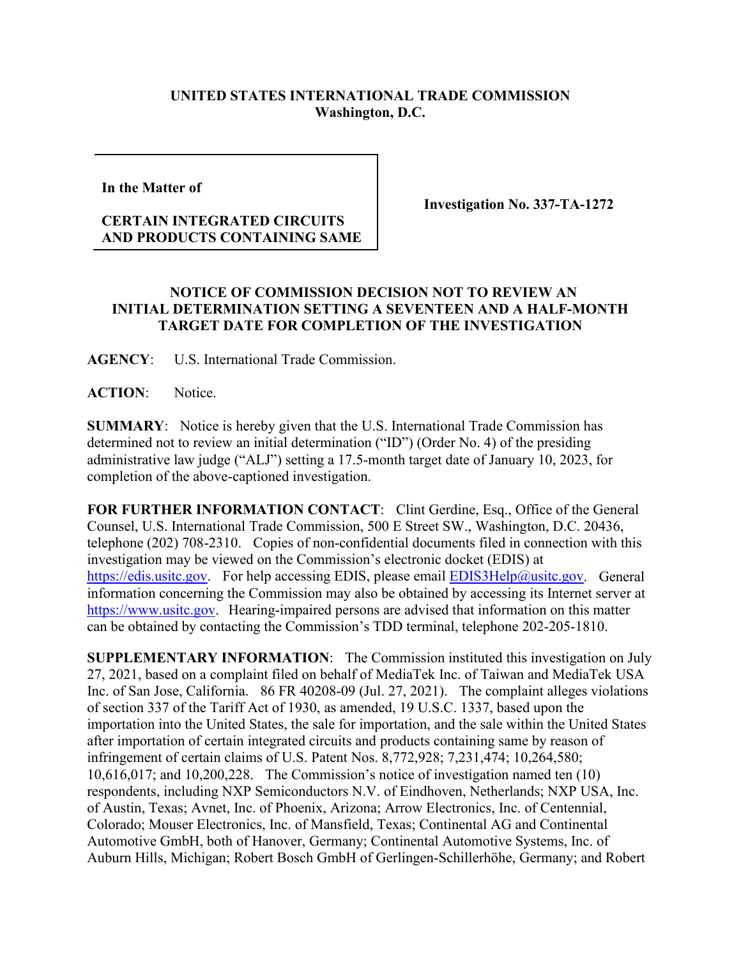## **UNITED STATES INTERNATIONAL TRADE COMMISSION Washington, D.C.**

**In the Matter of** 

## **CERTAIN INTEGRATED CIRCUITS AND PRODUCTS CONTAINING SAME**

**Investigation No. 337-TA-1272**

## **NOTICE OF COMMISSION DECISION NOT TO REVIEW AN INITIAL DETERMINATION SETTING A SEVENTEEN AND A HALF-MONTH TARGET DATE FOR COMPLETION OF THE INVESTIGATION**

**AGENCY**: U.S. International Trade Commission.

**ACTION**: Notice.

**SUMMARY**: Notice is hereby given that the U.S. International Trade Commission has determined not to review an initial determination ("ID") (Order No. 4) of the presiding administrative law judge ("ALJ") setting a 17.5-month target date of January 10, 2023, for completion of the above-captioned investigation.

**FOR FURTHER INFORMATION CONTACT**: Clint Gerdine, Esq., Office of the General Counsel, U.S. International Trade Commission, 500 E Street SW., Washington, D.C. 20436, telephone (202) 708-2310. Copies of non-confidential documents filed in connection with this investigation may be viewed on the Commission's electronic docket (EDIS) at [https://edis.usitc.gov.](https://edis.usitc.gov/) For help accessing EDIS, please email [EDIS3Help@usitc.gov.](mailto:EDIS3Help@usitc.gov) General information concerning the Commission may also be obtained by accessing its Internet server at [https://www.usitc.gov.](https://www.usitc.gov/) Hearing-impaired persons are advised that information on this matter can be obtained by contacting the Commission's TDD terminal, telephone 202-205-1810.

**SUPPLEMENTARY INFORMATION**: The Commission instituted this investigation on July 27, 2021, based on a complaint filed on behalf of MediaTek Inc. of Taiwan and MediaTek USA Inc. of San Jose, California. 86 FR 40208-09 (Jul. 27, 2021). The complaint alleges violations of section 337 of the Tariff Act of 1930, as amended, 19 U.S.C. 1337, based upon the importation into the United States, the sale for importation, and the sale within the United States after importation of certain integrated circuits and products containing same by reason of infringement of certain claims of U.S. Patent Nos. 8,772,928; 7,231,474; 10,264,580; 10,616,017; and 10,200,228. The Commission's notice of investigation named ten (10) respondents, including NXP Semiconductors N.V. of Eindhoven, Netherlands; NXP USA, Inc. of Austin, Texas; Avnet, Inc. of Phoenix, Arizona; Arrow Electronics, Inc. of Centennial, Colorado; Mouser Electronics, Inc. of Mansfield, Texas; Continental AG and Continental Automotive GmbH, both of Hanover, Germany; Continental Automotive Systems, Inc. of Auburn Hills, Michigan; Robert Bosch GmbH of Gerlingen-Schillerhöhe, Germany; and Robert